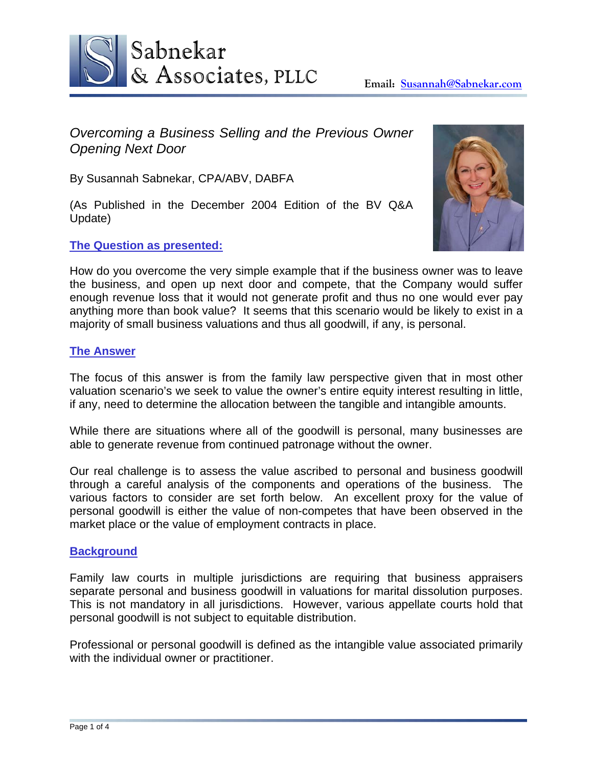

*Overcoming a Business Selling and the Previous Owner Opening Next Door* 

By Susannah Sabnekar, CPA/ABV, DABFA

(As Published in the December 2004 Edition of the BV Q&A Update)

# **The Question as presented:**



How do you overcome the very simple example that if the business owner was to leave the business, and open up next door and compete, that the Company would suffer enough revenue loss that it would not generate profit and thus no one would ever pay anything more than book value? It seems that this scenario would be likely to exist in a majority of small business valuations and thus all goodwill, if any, is personal.

# **The Answer**

The focus of this answer is from the family law perspective given that in most other valuation scenario's we seek to value the owner's entire equity interest resulting in little, if any, need to determine the allocation between the tangible and intangible amounts.

While there are situations where all of the goodwill is personal, many businesses are able to generate revenue from continued patronage without the owner.

Our real challenge is to assess the value ascribed to personal and business goodwill through a careful analysis of the components and operations of the business. The various factors to consider are set forth below. An excellent proxy for the value of personal goodwill is either the value of non-competes that have been observed in the market place or the value of employment contracts in place.

### **Background**

Family law courts in multiple jurisdictions are requiring that business appraisers separate personal and business goodwill in valuations for marital dissolution purposes. This is not mandatory in all jurisdictions. However, various appellate courts hold that personal goodwill is not subject to equitable distribution.

Professional or personal goodwill is defined as the intangible value associated primarily with the individual owner or practitioner.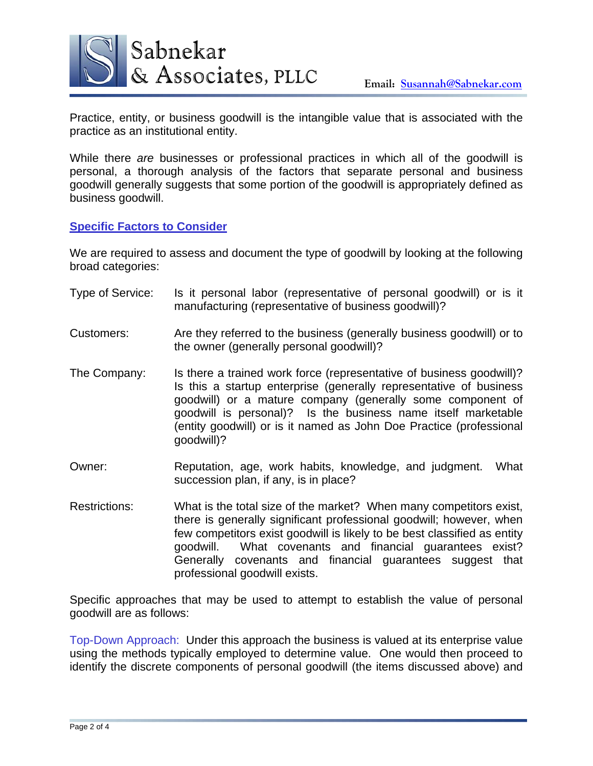

Practice, entity, or business goodwill is the intangible value that is associated with the practice as an institutional entity.

While there *are* businesses or professional practices in which all of the goodwill is personal, a thorough analysis of the factors that separate personal and business goodwill generally suggests that some portion of the goodwill is appropriately defined as business goodwill.

## **Specific Factors to Consider**

We are required to assess and document the type of goodwill by looking at the following broad categories:

- Type of Service: Is it personal labor (representative of personal goodwill) or is it manufacturing (representative of business goodwill)?
- Customers: Are they referred to the business (generally business goodwill) or to the owner (generally personal goodwill)?
- The Company: Is there a trained work force (representative of business goodwill)? Is this a startup enterprise (generally representative of business goodwill) or a mature company (generally some component of goodwill is personal)? Is the business name itself marketable (entity goodwill) or is it named as John Doe Practice (professional goodwill)?
- Owner: Reputation, age, work habits, knowledge, and judgment. What succession plan, if any, is in place?
- Restrictions: What is the total size of the market? When many competitors exist, there is generally significant professional goodwill; however, when few competitors exist goodwill is likely to be best classified as entity goodwill. What covenants and financial guarantees exist? Generally covenants and financial guarantees suggest that professional goodwill exists.

Specific approaches that may be used to attempt to establish the value of personal goodwill are as follows:

Top-Down Approach: Under this approach the business is valued at its enterprise value using the methods typically employed to determine value. One would then proceed to identify the discrete components of personal goodwill (the items discussed above) and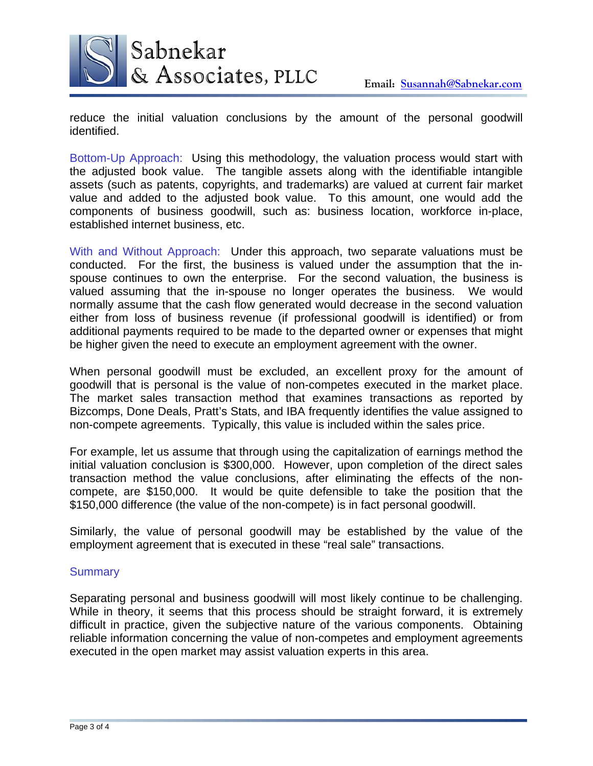

reduce the initial valuation conclusions by the amount of the personal goodwill identified.

Bottom-Up Approach: Using this methodology, the valuation process would start with the adjusted book value. The tangible assets along with the identifiable intangible assets (such as patents, copyrights, and trademarks) are valued at current fair market value and added to the adjusted book value. To this amount, one would add the components of business goodwill, such as: business location, workforce in-place, established internet business, etc.

With and Without Approach: Under this approach, two separate valuations must be conducted. For the first, the business is valued under the assumption that the inspouse continues to own the enterprise. For the second valuation, the business is valued assuming that the in-spouse no longer operates the business. We would normally assume that the cash flow generated would decrease in the second valuation either from loss of business revenue (if professional goodwill is identified) or from additional payments required to be made to the departed owner or expenses that might be higher given the need to execute an employment agreement with the owner.

When personal goodwill must be excluded, an excellent proxy for the amount of goodwill that is personal is the value of non-competes executed in the market place. The market sales transaction method that examines transactions as reported by Bizcomps, Done Deals, Pratt's Stats, and IBA frequently identifies the value assigned to non-compete agreements. Typically, this value is included within the sales price.

For example, let us assume that through using the capitalization of earnings method the initial valuation conclusion is \$300,000. However, upon completion of the direct sales transaction method the value conclusions, after eliminating the effects of the noncompete, are \$150,000. It would be quite defensible to take the position that the \$150,000 difference (the value of the non-compete) is in fact personal goodwill.

Similarly, the value of personal goodwill may be established by the value of the employment agreement that is executed in these "real sale" transactions.

### **Summary**

Separating personal and business goodwill will most likely continue to be challenging. While in theory, it seems that this process should be straight forward, it is extremely difficult in practice, given the subjective nature of the various components. Obtaining reliable information concerning the value of non-competes and employment agreements executed in the open market may assist valuation experts in this area.